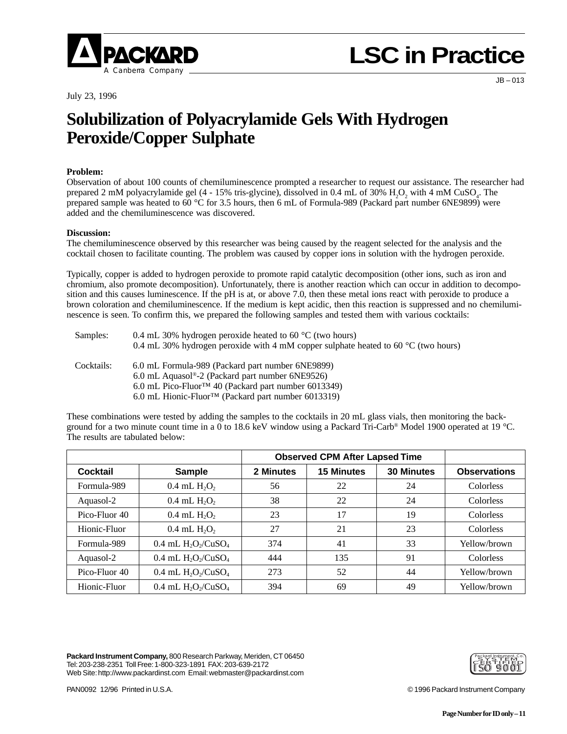

# **LSC in Practice**

July 23, 1996

JB – 013

### **Solubilization of Polyacrylamide Gels With Hydrogen Peroxide/Copper Sulphate**

#### **Problem:**

Observation of about 100 counts of chemiluminescence prompted a researcher to request our assistance. The researcher had prepared 2 mM polyacrylamide gel (4 - 15% tris-glycine), dissolved in 0.4 mL of 30%  $H_2O_2$  with 4 mM CuSO<sub>4</sub>. The prepared sample was heated to 60 °C for 3.5 hours, then 6 mL of Formula-989 (Packard part number 6NE9899) were added and the chemiluminescence was discovered.

#### **Discussion:**

The chemiluminescence observed by this researcher was being caused by the reagent selected for the analysis and the cocktail chosen to facilitate counting. The problem was caused by copper ions in solution with the hydrogen peroxide.

Typically, copper is added to hydrogen peroxide to promote rapid catalytic decomposition (other ions, such as iron and chromium, also promote decomposition). Unfortunately, there is another reaction which can occur in addition to decomposition and this causes luminescence. If the pH is at, or above 7.0, then these metal ions react with peroxide to produce a brown coloration and chemiluminescence. If the medium is kept acidic, then this reaction is suppressed and no chemiluminescence is seen. To confirm this, we prepared the following samples and tested them with various cocktails:

| Samples:   | 0.4 mL 30% hydrogen peroxide heated to 60 $^{\circ}$ C (two hours)                          |  |  |  |  |  |
|------------|---------------------------------------------------------------------------------------------|--|--|--|--|--|
|            | 0.4 mL 30% hydrogen peroxide with 4 mM copper sulphate heated to 60 $\degree$ C (two hours) |  |  |  |  |  |
| Cocktails: | 6.0 mL Formula-989 (Packard part number 6NE9899)                                            |  |  |  |  |  |
|            | 6.0 mL Aguasol <sup>®</sup> -2 (Packard part number $6NE9526$ )                             |  |  |  |  |  |
|            | 6.0 mL Pico-Fluor <sup>TM</sup> 40 (Packard part number 6013349)                            |  |  |  |  |  |
|            | 6.0 mL Hionic-Fluor <sup>TM</sup> (Packard part number 6013319)                             |  |  |  |  |  |

These combinations were tested by adding the samples to the cocktails in 20 mL glass vials, then monitoring the background for a two minute count time in a 0 to 18.6 keV window using a Packard Tri-Carb® Model 1900 operated at 19 °C. The results are tabulated below:

|               |                          | <b>Observed CPM After Lapsed Time</b> |                   |                   |                     |
|---------------|--------------------------|---------------------------------------|-------------------|-------------------|---------------------|
| Cocktail      | <b>Sample</b>            | 2 Minutes                             | <b>15 Minutes</b> | <b>30 Minutes</b> | <b>Observations</b> |
| Formula-989   | $0.4$ mL $H_2O_2$        | 56                                    | 22                | 24                | Colorless           |
| Aquasol-2     | $0.4$ mL $H_2O_2$        | 38                                    | 22                | 24                | Colorless           |
| Pico-Fluor 40 | $0.4$ mL $H_2O_2$        | 23                                    | 17                | 19                | Colorless           |
| Hionic-Fluor  | $0.4$ mL $H_2O_2$        | 27                                    | 21                | 23                | Colorless           |
| Formula-989   | 0.4 mL $H_2O_2/CuSO_4$   | 374                                   | 41                | 33                | Yellow/brown        |
| Aquasol-2     | $0.4$ mL $H_2O_2/CuSO_4$ | 444                                   | 135               | 91                | Colorless           |
| Pico-Fluor 40 | $0.4$ mL $H_2O_2/CuSO_4$ | 273                                   | 52                | 44                | Yellow/brown        |
| Hionic-Fluor  | $0.4$ mL $H2O2/CuSO4$    | 394                                   | 69                | 49                | Yellow/brown        |

**Packard Instrument Company,** 800 Research Parkway, Meriden, CT 06450 Tel: 203-238-2351 Toll Free: 1-800-323-1891 FAX: 203-639-2172 Web Site: http://www.packardinst.com Email: webmaster@packardinst.com



PAN0092 12/96 Printed in U.S.A. © 1996 Packard Instrument Company